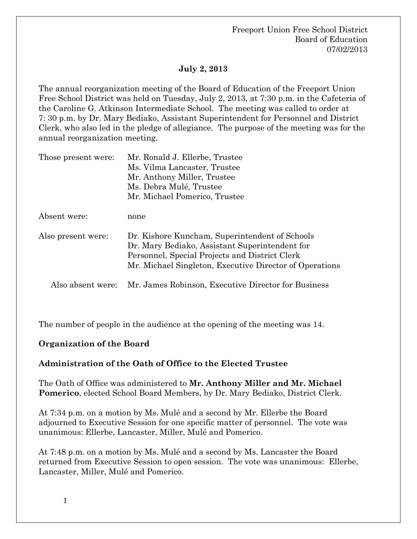## **July 2, 2013**

The annual reorganization meeting of the Board of Education of the Freeport Union Free School District was held on Tuesday, July 2, 2013, at 7:30 p.m. in the Cafeteria of the Caroline G. Atkinson Intermediate School. The meeting was called to order at 7: 30 p.m. by Dr. Mary Bediako, Assistant Superintendent for Personnel and District Clerk, who also led in the pledge of allegiance. The purpose of the meeting was for the annual reorganization meeting.

| Those present were: | Mr. Ronald J. Ellerbe, Trustee<br>Ms. Vilma Lancaster, Trustee<br>Mr. Anthony Miller, Trustee<br>Ms. Debra Mulé, Trustee                                                                                      |  |
|---------------------|---------------------------------------------------------------------------------------------------------------------------------------------------------------------------------------------------------------|--|
|                     | Mr. Michael Pomerico, Trustee                                                                                                                                                                                 |  |
| Absent were:        | none                                                                                                                                                                                                          |  |
| Also present were:  | Dr. Kishore Kuncham, Superintendent of Schools<br>Dr. Mary Bediako, Assistant Superintendent for<br>Personnel, Special Projects and District Clerk<br>Mr. Michael Singleton, Executive Director of Operations |  |
| Also absent were:   | Mr. James Robinson, Executive Director for Business                                                                                                                                                           |  |

The number of people in the audience at the opening of the meeting was 14.

### **Organization of the Board**

### **Administration of the Oath of Office to the Elected Trustee**

The Oath of Office was administered to **Mr. Anthony Miller and Mr. Michael Pomerico**, elected School Board Members, by Dr. Mary Bediako, District Clerk.

At 7:34 p.m. on a motion by Ms. Mulé and a second by Mr. Ellerbe the Board adjourned to Executive Session for one specific matter of personnel. The vote was unanimous: Ellerbe, Lancaster, Miller, Mulé and Pomerico.

At 7:48 p.m. on a motion by Ms. Mulé and a second by Ms. Lancaster the Board returned from Executive Session to open session. The vote was unanimous: Ellerbe, Lancaster, Miller, Mulé and Pomerico.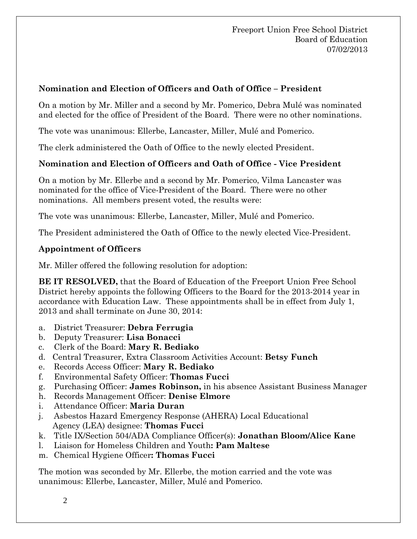## **Nomination and Election of Officers and Oath of Office – President**

On a motion by Mr. Miller and a second by Mr. Pomerico, Debra Mulé was nominated and elected for the office of President of the Board. There were no other nominations.

The vote was unanimous: Ellerbe, Lancaster, Miller, Mulé and Pomerico.

The clerk administered the Oath of Office to the newly elected President.

## **Nomination and Election of Officers and Oath of Office - Vice President**

On a motion by Mr. Ellerbe and a second by Mr. Pomerico, Vilma Lancaster was nominated for the office of Vice-President of the Board. There were no other nominations. All members present voted, the results were:

The vote was unanimous: Ellerbe, Lancaster, Miller, Mulé and Pomerico.

The President administered the Oath of Office to the newly elected Vice-President.

#### **Appointment of Officers**

Mr. Miller offered the following resolution for adoption:

**BE IT RESOLVED,** that the Board of Education of the Freeport Union Free School District hereby appoints the following Officers to the Board for the 2013-2014 year in accordance with Education Law. These appointments shall be in effect from July 1, 2013 and shall terminate on June 30, 2014:

- a. District Treasurer: **Debra Ferrugia**
- b. Deputy Treasurer: **Lisa Bonacci**
- c. Clerk of the Board: **Mary R. Bediako**
- d. Central Treasurer, Extra Classroom Activities Account: **Betsy Funch**
- e. Records Access Officer: **Mary R. Bediako**
- f. Environmental Safety Officer: **Thomas Fucci**
- g. Purchasing Officer: **James Robinson,** in his absence Assistant Business Manager
- h. Records Management Officer: **Denise Elmore**
- i. Attendance Officer: **Maria Duran**
- j. Asbestos Hazard Emergency Response (AHERA) Local Educational Agency (LEA) designee: **Thomas Fucci**
- k. Title IX/Section 504/ADA Compliance Officer(s): **Jonathan Bloom/Alice Kane**
- l. Liaison for Homeless Children and Youth**: Pam Maltese**
- m.Chemical Hygiene Officer**: Thomas Fucci**

The motion was seconded by Mr. Ellerbe, the motion carried and the vote was unanimous: Ellerbe, Lancaster, Miller, Mulé and Pomerico.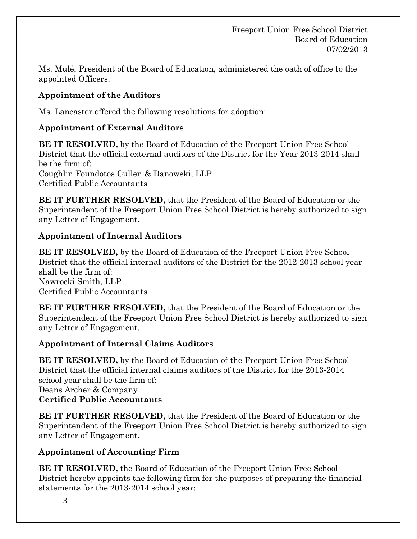Ms. Mulé, President of the Board of Education, administered the oath of office to the appointed Officers.

# **Appointment of the Auditors**

Ms. Lancaster offered the following resolutions for adoption:

## **Appointment of External Auditors**

**BE IT RESOLVED,** by the Board of Education of the Freeport Union Free School District that the official external auditors of the District for the Year 2013-2014 shall be the firm of: Coughlin Foundotos Cullen & Danowski, LLP Certified Public Accountants

**BE IT FURTHER RESOLVED,** that the President of the Board of Education or the Superintendent of the Freeport Union Free School District is hereby authorized to sign any Letter of Engagement.

## **Appointment of Internal Auditors**

**BE IT RESOLVED,** by the Board of Education of the Freeport Union Free School District that the official internal auditors of the District for the 2012-2013 school year shall be the firm of: Nawrocki Smith, LLP Certified Public Accountants

**BE IT FURTHER RESOLVED,** that the President of the Board of Education or the Superintendent of the Freeport Union Free School District is hereby authorized to sign any Letter of Engagement.

## **Appointment of Internal Claims Auditors**

**BE IT RESOLVED,** by the Board of Education of the Freeport Union Free School District that the official internal claims auditors of the District for the 2013-2014 school year shall be the firm of: Deans Archer & Company **Certified Public Accountants** 

**BE IT FURTHER RESOLVED,** that the President of the Board of Education or the Superintendent of the Freeport Union Free School District is hereby authorized to sign any Letter of Engagement.

## **Appointment of Accounting Firm**

**BE IT RESOLVED,** the Board of Education of the Freeport Union Free School District hereby appoints the following firm for the purposes of preparing the financial statements for the 2013-2014 school year: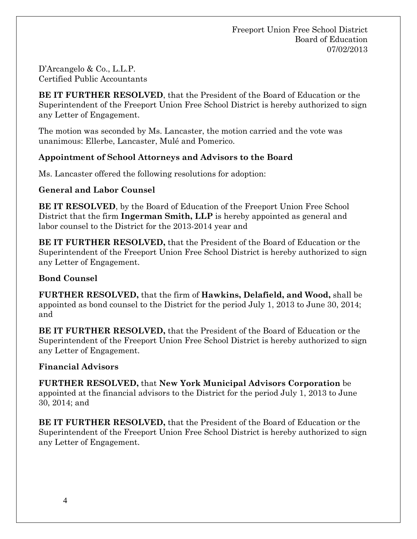D'Arcangelo & Co., L.L.P. Certified Public Accountants

**BE IT FURTHER RESOLVED**, that the President of the Board of Education or the Superintendent of the Freeport Union Free School District is hereby authorized to sign any Letter of Engagement.

The motion was seconded by Ms. Lancaster, the motion carried and the vote was unanimous: Ellerbe, Lancaster, Mulé and Pomerico.

## **Appointment of School Attorneys and Advisors to the Board**

Ms. Lancaster offered the following resolutions for adoption:

## **General and Labor Counsel**

**BE IT RESOLVED**, by the Board of Education of the Freeport Union Free School District that the firm **Ingerman Smith, LLP** is hereby appointed as general and labor counsel to the District for the 2013-2014 year and

**BE IT FURTHER RESOLVED,** that the President of the Board of Education or the Superintendent of the Freeport Union Free School District is hereby authorized to sign any Letter of Engagement.

## **Bond Counsel**

**FURTHER RESOLVED,** that the firm of **Hawkins, Delafield, and Wood,** shall be appointed as bond counsel to the District for the period July 1, 2013 to June 30, 2014; and

**BE IT FURTHER RESOLVED,** that the President of the Board of Education or the Superintendent of the Freeport Union Free School District is hereby authorized to sign any Letter of Engagement.

## **Financial Advisors**

**FURTHER RESOLVED,** that **New York Municipal Advisors Corporation** be appointed at the financial advisors to the District for the period July 1, 2013 to June 30, 2014; and

**BE IT FURTHER RESOLVED,** that the President of the Board of Education or the Superintendent of the Freeport Union Free School District is hereby authorized to sign any Letter of Engagement.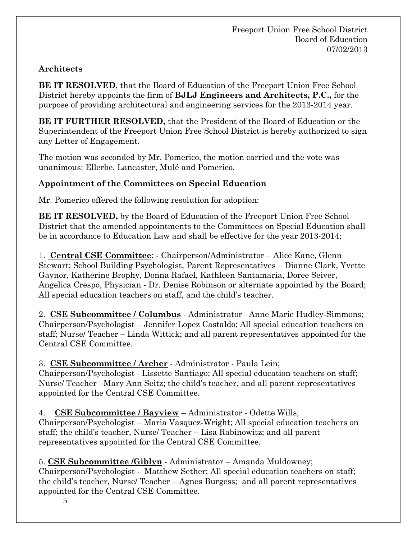# **Architects**

**BE IT RESOLVED**, that the Board of Education of the Freeport Union Free School District hereby appoints the firm of **BJLJ Engineers and Architects, P.C.,** for the purpose of providing architectural and engineering services for the 2013-2014 year.

**BE IT FURTHER RESOLVED,** that the President of the Board of Education or the Superintendent of the Freeport Union Free School District is hereby authorized to sign any Letter of Engagement.

The motion was seconded by Mr. Pomerico, the motion carried and the vote was unanimous: Ellerbe, Lancaster, Mulé and Pomerico.

# **Appointment of the Committees on Special Education**

Mr. Pomerico offered the following resolution for adoption:

**BE IT RESOLVED,** by the Board of Education of the Freeport Union Free School District that the amended appointments to the Committees on Special Education shall be in accordance to Education Law and shall be effective for the year 2013-2014;

1. **Central CSE Committee**: - Chairperson/Administrator – Alice Kane, Glenn Stewart; School Building Psychologist, Parent Representatives – Dianne Clark, Yvette Gaynor, Katherine Brophy, Donna Rafael, Kathleen Santamaria, Doree Seiver, Angelica Crespo, Physician - Dr. Denise Robinson or alternate appointed by the Board; All special education teachers on staff, and the child's teacher.

2. **CSE Subcommittee / Columbus** - Administrator –Anne Marie Hudley-Simmons; Chairperson/Psychologist – Jennifer Lopez Castaldo; All special education teachers on staff; Nurse/ Teacher – Linda Wittick; and all parent representatives appointed for the Central CSE Committee.

## 3. **CSE Subcommittee / Archer** - Administrator - Paula Lein;

Chairperson/Psychologist - Lissette Santiago; All special education teachers on staff; Nurse/ Teacher –Mary Ann Seitz; the child's teacher, and all parent representatives appointed for the Central CSE Committee.

4. **CSE Subcommittee / Bayview** – Administrator - Odette Wills;

Chairperson/Psychologist – Maria Vasquez-Wright; All special education teachers on staff; the child's teacher, Nurse/ Teacher – Lisa Rabinowitz; and all parent representatives appointed for the Central CSE Committee.

# 5. **CSE Subcommittee /Giblyn** - Administrator – Amanda Muldowney;

Chairperson/Psychologist - Matthew Sether; All special education teachers on staff; the child's teacher, Nurse/ Teacher – Agnes Burgess; and all parent representatives appointed for the Central CSE Committee.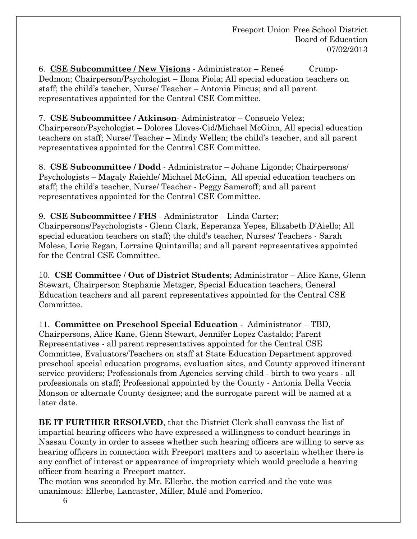6. **CSE Subcommittee / New Visions** - Administrator – Reneé Crump-Dedmon; Chairperson/Psychologist – Ilona Fiola; All special education teachers on staff; the child's teacher, Nurse/ Teacher – Antonia Pincus; and all parent representatives appointed for the Central CSE Committee.

## 7. **CSE Subcommittee / Atkinson**- Administrator – Consuelo Velez;

Chairperson/Psychologist – Dolores Lloves-Cid/Michael McGinn, All special education teachers on staff; Nurse/ Teacher – Mindy Wellen; the child's teacher, and all parent representatives appointed for the Central CSE Committee.

8. **CSE Subcommittee / Dodd** - Administrator – Johane Ligonde; Chairpersons/ Psychologists – Magaly Raiehle/ Michael McGinn, All special education teachers on staff; the child's teacher, Nurse/ Teacher - Peggy Sameroff; and all parent representatives appointed for the Central CSE Committee.

9. **CSE Subcommittee / FHS** - Administrator – Linda Carter; Chairpersons/Psychologists - Glenn Clark, Esperanza Yepes, Elizabeth D'Aiello; All special education teachers on staff; the child's teacher, Nurses/ Teachers - Sarah Molese, Lorie Regan, Lorraine Quintanilla; and all parent representatives appointed for the Central CSE Committee.

10. **CSE Committee** / **Out of District Students**; Administrator – Alice Kane, Glenn Stewart, Chairperson Stephanie Metzger, Special Education teachers, General Education teachers and all parent representatives appointed for the Central CSE Committee.

11. **Committee on Preschool Special Education** - Administrator – TBD, Chairpersons, Alice Kane, Glenn Stewart, Jennifer Lopez Castaldo; Parent Representatives - all parent representatives appointed for the Central CSE Committee, Evaluators/Teachers on staff at State Education Department approved preschool special education programs, evaluation sites, and County approved itinerant service providers; Professionals from Agencies serving child - birth to two years - all professionals on staff; Professional appointed by the County - Antonia Della Veccia Monson or alternate County designee; and the surrogate parent will be named at a later date.

**BE IT FURTHER RESOLVED**, that the District Clerk shall canvass the list of impartial hearing officers who have expressed a willingness to conduct hearings in Nassau County in order to assess whether such hearing officers are willing to serve as hearing officers in connection with Freeport matters and to ascertain whether there is any conflict of interest or appearance of impropriety which would preclude a hearing officer from hearing a Freeport matter.

The motion was seconded by Mr. Ellerbe, the motion carried and the vote was unanimous: Ellerbe, Lancaster, Miller, Mulé and Pomerico.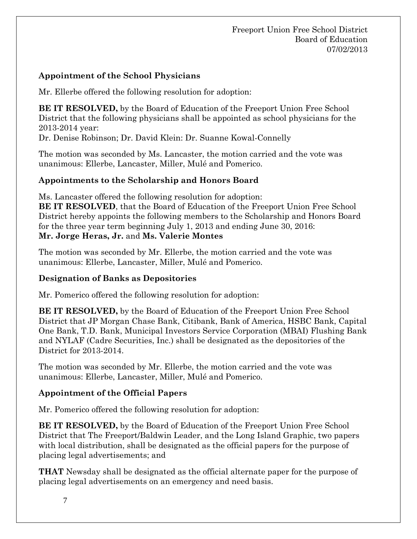## **Appointment of the School Physicians**

Mr. Ellerbe offered the following resolution for adoption:

**BE IT RESOLVED,** by the Board of Education of the Freeport Union Free School District that the following physicians shall be appointed as school physicians for the 2013-2014 year:

Dr. Denise Robinson; Dr. David Klein: Dr. Suanne Kowal-Connelly

The motion was seconded by Ms. Lancaster, the motion carried and the vote was unanimous: Ellerbe, Lancaster, Miller, Mulé and Pomerico.

## **Appointments to the Scholarship and Honors Board**

Ms. Lancaster offered the following resolution for adoption:

**BE IT RESOLVED**, that the Board of Education of the Freeport Union Free School District hereby appoints the following members to the Scholarship and Honors Board for the three year term beginning July 1, 2013 and ending June 30, 2016: **Mr. Jorge Heras, Jr.** and **Ms. Valerie Montes**

The motion was seconded by Mr. Ellerbe, the motion carried and the vote was unanimous: Ellerbe, Lancaster, Miller, Mulé and Pomerico.

## **Designation of Banks as Depositories**

Mr. Pomerico offered the following resolution for adoption:

**BE IT RESOLVED,** by the Board of Education of the Freeport Union Free School District that JP Morgan Chase Bank, Citibank, Bank of America, HSBC Bank, Capital One Bank, T.D. Bank, Municipal Investors Service Corporation (MBAI) Flushing Bank and NYLAF (Cadre Securities, Inc.) shall be designated as the depositories of the District for 2013-2014.

The motion was seconded by Mr. Ellerbe, the motion carried and the vote was unanimous: Ellerbe, Lancaster, Miller, Mulé and Pomerico.

## **Appointment of the Official Papers**

Mr. Pomerico offered the following resolution for adoption:

**BE IT RESOLVED,** by the Board of Education of the Freeport Union Free School District that The Freeport/Baldwin Leader, and the Long Island Graphic, two papers with local distribution, shall be designated as the official papers for the purpose of placing legal advertisements; and

**THAT** Newsday shall be designated as the official alternate paper for the purpose of placing legal advertisements on an emergency and need basis.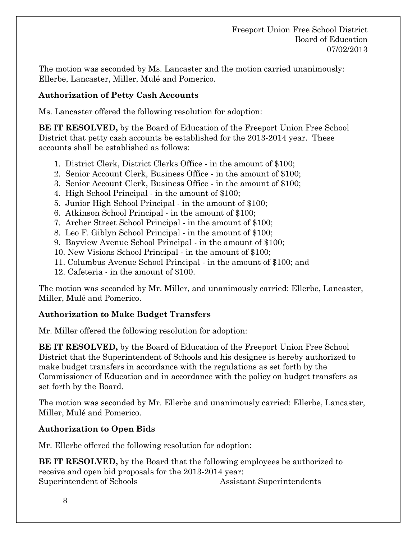The motion was seconded by Ms. Lancaster and the motion carried unanimously: Ellerbe, Lancaster, Miller, Mulé and Pomerico.

## **Authorization of Petty Cash Accounts**

Ms. Lancaster offered the following resolution for adoption:

**BE IT RESOLVED,** by the Board of Education of the Freeport Union Free School District that petty cash accounts be established for the 2013-2014 year. These accounts shall be established as follows:

- 1. District Clerk, District Clerks Office in the amount of \$100;
- 2. Senior Account Clerk, Business Office in the amount of \$100;
- 3. Senior Account Clerk, Business Office in the amount of \$100;
- 4. High School Principal in the amount of \$100;
- 5. Junior High School Principal in the amount of \$100;
- 6. Atkinson School Principal in the amount of \$100;
- 7. Archer Street School Principal in the amount of \$100;
- 8. Leo F. Giblyn School Principal in the amount of \$100;
- 9. Bayview Avenue School Principal in the amount of \$100;
- 10. New Visions School Principal in the amount of \$100;
- 11. Columbus Avenue School Principal in the amount of \$100; and
- 12. Cafeteria in the amount of \$100.

The motion was seconded by Mr. Miller, and unanimously carried: Ellerbe, Lancaster, Miller, Mulé and Pomerico.

### **Authorization to Make Budget Transfers**

Mr. Miller offered the following resolution for adoption:

**BE IT RESOLVED,** by the Board of Education of the Freeport Union Free School District that the Superintendent of Schools and his designee is hereby authorized to make budget transfers in accordance with the regulations as set forth by the Commissioner of Education and in accordance with the policy on budget transfers as set forth by the Board.

The motion was seconded by Mr. Ellerbe and unanimously carried: Ellerbe, Lancaster, Miller, Mulé and Pomerico.

### **Authorization to Open Bids**

Mr. Ellerbe offered the following resolution for adoption:

**BE IT RESOLVED,** by the Board that the following employees be authorized to receive and open bid proposals for the 2013-2014 year: Superintendent of Schools Assistant Superintendents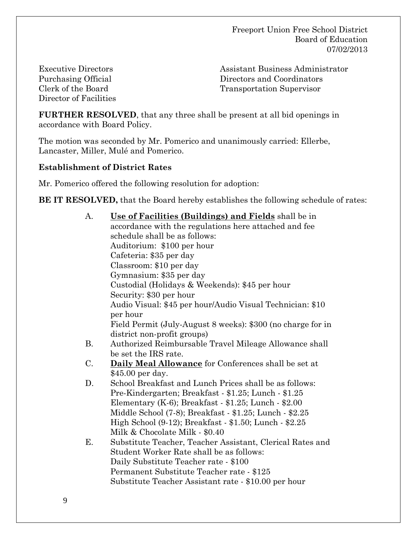Executive Directors Purchasing Official Clerk of the Board Director of Facilities Assistant Business Administrator Directors and Coordinators Transportation Supervisor

**FURTHER RESOLVED**, that any three shall be present at all bid openings in accordance with Board Policy.

The motion was seconded by Mr. Pomerico and unanimously carried: Ellerbe, Lancaster, Miller, Mulé and Pomerico.

#### **Establishment of District Rates**

Mr. Pomerico offered the following resolution for adoption:

**BE IT RESOLVED,** that the Board hereby establishes the following schedule of rates:

| А.        | Use of Facilities (Buildings) and Fields shall be in        |  |  |  |
|-----------|-------------------------------------------------------------|--|--|--|
|           | accordance with the regulations here attached and fee       |  |  |  |
|           | schedule shall be as follows:                               |  |  |  |
|           | Auditorium: \$100 per hour                                  |  |  |  |
|           | Cafeteria: \$35 per day                                     |  |  |  |
|           | Classroom: \$10 per day                                     |  |  |  |
|           | Gymnasium: \$35 per day                                     |  |  |  |
|           | Custodial (Holidays & Weekends): \$45 per hour              |  |  |  |
|           | Security: \$30 per hour                                     |  |  |  |
|           | Audio Visual: \$45 per hour/Audio Visual Technician: \$10   |  |  |  |
|           | per hour                                                    |  |  |  |
|           | Field Permit (July-August 8 weeks): \$300 (no charge for in |  |  |  |
|           | district non-profit groups)                                 |  |  |  |
| <b>B.</b> | Authorized Reimbursable Travel Mileage Allowance shall      |  |  |  |
|           | be set the IRS rate.                                        |  |  |  |
| $C$ .     | <b>Daily Meal Allowance</b> for Conferences shall be set at |  |  |  |
|           | \$45.00 per day.                                            |  |  |  |
| D.        | School Breakfast and Lunch Prices shall be as follows:      |  |  |  |
|           | Pre-Kindergarten; Breakfast - \$1.25; Lunch - \$1.25        |  |  |  |
|           | Elementary (K-6); Breakfast - \$1.25; Lunch - \$2.00        |  |  |  |
|           | Middle School (7-8); Breakfast - \$1.25; Lunch - \$2.25     |  |  |  |
|           | High School (9-12); Breakfast - \$1.50; Lunch - \$2.25      |  |  |  |
|           | Milk & Chocolate Milk - \$0.40                              |  |  |  |
| Ε.        | Substitute Teacher, Teacher Assistant, Clerical Rates and   |  |  |  |
|           | Student Worker Rate shall be as follows:                    |  |  |  |
|           | Daily Substitute Teacher rate - \$100                       |  |  |  |
|           | Permanent Substitute Teacher rate - \$125                   |  |  |  |
|           | Substitute Teacher Assistant rate - \$10.00 per hour        |  |  |  |
|           |                                                             |  |  |  |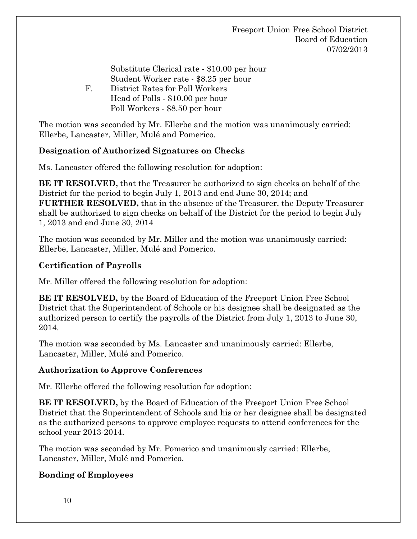Substitute Clerical rate - \$10.00 per hour Student Worker rate - \$8.25 per hour F. District Rates for Poll Workers Head of Polls - \$10.00 per hour Poll Workers - \$8.50 per hour

The motion was seconded by Mr. Ellerbe and the motion was unanimously carried: Ellerbe, Lancaster, Miller, Mulé and Pomerico.

## **Designation of Authorized Signatures on Checks**

Ms. Lancaster offered the following resolution for adoption:

**BE IT RESOLVED,** that the Treasurer be authorized to sign checks on behalf of the District for the period to begin July 1, 2013 and end June 30, 2014; and **FURTHER RESOLVED,** that in the absence of the Treasurer, the Deputy Treasurer shall be authorized to sign checks on behalf of the District for the period to begin July 1, 2013 and end June 30, 2014

The motion was seconded by Mr. Miller and the motion was unanimously carried: Ellerbe, Lancaster, Miller, Mulé and Pomerico.

## **Certification of Payrolls**

Mr. Miller offered the following resolution for adoption:

**BE IT RESOLVED,** by the Board of Education of the Freeport Union Free School District that the Superintendent of Schools or his designee shall be designated as the authorized person to certify the payrolls of the District from July 1, 2013 to June 30, 2014.

The motion was seconded by Ms. Lancaster and unanimously carried: Ellerbe, Lancaster, Miller, Mulé and Pomerico.

### **Authorization to Approve Conferences**

Mr. Ellerbe offered the following resolution for adoption:

**BE IT RESOLVED,** by the Board of Education of the Freeport Union Free School District that the Superintendent of Schools and his or her designee shall be designated as the authorized persons to approve employee requests to attend conferences for the school year 2013-2014.

The motion was seconded by Mr. Pomerico and unanimously carried: Ellerbe, Lancaster, Miller, Mulé and Pomerico.

## **Bonding of Employees**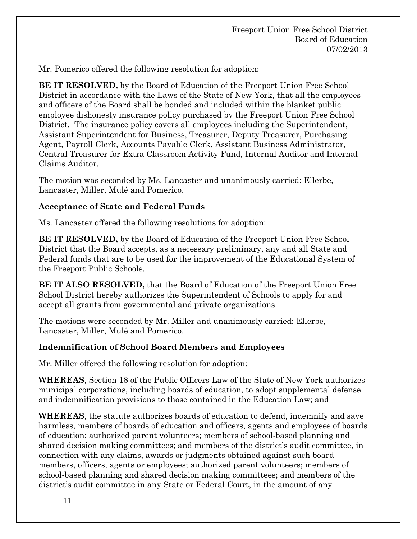Mr. Pomerico offered the following resolution for adoption:

**BE IT RESOLVED,** by the Board of Education of the Freeport Union Free School District in accordance with the Laws of the State of New York, that all the employees and officers of the Board shall be bonded and included within the blanket public employee dishonesty insurance policy purchased by the Freeport Union Free School District. The insurance policy covers all employees including the Superintendent, Assistant Superintendent for Business, Treasurer, Deputy Treasurer, Purchasing Agent, Payroll Clerk, Accounts Payable Clerk, Assistant Business Administrator, Central Treasurer for Extra Classroom Activity Fund, Internal Auditor and Internal Claims Auditor.

The motion was seconded by Ms. Lancaster and unanimously carried: Ellerbe, Lancaster, Miller, Mulé and Pomerico.

#### **Acceptance of State and Federal Funds**

Ms. Lancaster offered the following resolutions for adoption:

**BE IT RESOLVED,** by the Board of Education of the Freeport Union Free School District that the Board accepts, as a necessary preliminary, any and all State and Federal funds that are to be used for the improvement of the Educational System of the Freeport Public Schools.

**BE IT ALSO RESOLVED,** that the Board of Education of the Freeport Union Free School District hereby authorizes the Superintendent of Schools to apply for and accept all grants from governmental and private organizations.

The motions were seconded by Mr. Miller and unanimously carried: Ellerbe, Lancaster, Miller, Mulé and Pomerico.

#### **Indemnification of School Board Members and Employees**

Mr. Miller offered the following resolution for adoption:

**WHEREAS**, Section 18 of the Public Officers Law of the State of New York authorizes municipal corporations, including boards of education, to adopt supplemental defense and indemnification provisions to those contained in the Education Law; and

**WHEREAS**, the statute authorizes boards of education to defend, indemnify and save harmless, members of boards of education and officers, agents and employees of boards of education; authorized parent volunteers; members of school-based planning and shared decision making committees; and members of the district's audit committee, in connection with any claims, awards or judgments obtained against such board members, officers, agents or employees; authorized parent volunteers; members of school-based planning and shared decision making committees; and members of the district's audit committee in any State or Federal Court, in the amount of any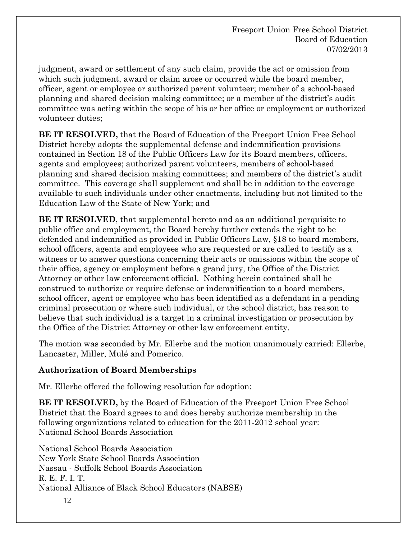judgment, award or settlement of any such claim, provide the act or omission from which such judgment, award or claim arose or occurred while the board member, officer, agent or employee or authorized parent volunteer; member of a school-based planning and shared decision making committee; or a member of the district's audit committee was acting within the scope of his or her office or employment or authorized volunteer duties;

**BE IT RESOLVED,** that the Board of Education of the Freeport Union Free School District hereby adopts the supplemental defense and indemnification provisions contained in Section 18 of the Public Officers Law for its Board members, officers, agents and employees; authorized parent volunteers, members of school-based planning and shared decision making committees; and members of the district's audit committee. This coverage shall supplement and shall be in addition to the coverage available to such individuals under other enactments, including but not limited to the Education Law of the State of New York; and

**BE IT RESOLVED**, that supplemental hereto and as an additional perquisite to public office and employment, the Board hereby further extends the right to be defended and indemnified as provided in Public Officers Law, §18 to board members, school officers, agents and employees who are requested or are called to testify as a witness or to answer questions concerning their acts or omissions within the scope of their office, agency or employment before a grand jury, the Office of the District Attorney or other law enforcement official. Nothing herein contained shall be construed to authorize or require defense or indemnification to a board members, school officer, agent or employee who has been identified as a defendant in a pending criminal prosecution or where such individual, or the school district, has reason to believe that such individual is a target in a criminal investigation or prosecution by the Office of the District Attorney or other law enforcement entity.

The motion was seconded by Mr. Ellerbe and the motion unanimously carried: Ellerbe, Lancaster, Miller, Mulé and Pomerico.

## **Authorization of Board Memberships**

Mr. Ellerbe offered the following resolution for adoption:

**BE IT RESOLVED,** by the Board of Education of the Freeport Union Free School District that the Board agrees to and does hereby authorize membership in the following organizations related to education for the 2011-2012 school year: National School Boards Association

 National School Boards Association New York State School Boards Association Nassau - Suffolk School Boards Association R. E. F. I. T. National Alliance of Black School Educators (NABSE)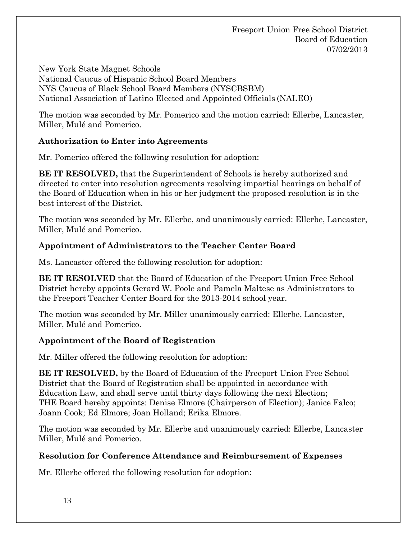Freeport Union Free School District Board of Education 07/02/2013

 New York State Magnet Schools National Caucus of Hispanic School Board Members NYS Caucus of Black School Board Members (NYSCBSBM) National Association of Latino Elected and Appointed Officials (NALEO)

The motion was seconded by Mr. Pomerico and the motion carried: Ellerbe, Lancaster, Miller, Mulé and Pomerico.

## **Authorization to Enter into Agreements**

Mr. Pomerico offered the following resolution for adoption:

**BE IT RESOLVED,** that the Superintendent of Schools is hereby authorized and directed to enter into resolution agreements resolving impartial hearings on behalf of the Board of Education when in his or her judgment the proposed resolution is in the best interest of the District.

The motion was seconded by Mr. Ellerbe, and unanimously carried: Ellerbe, Lancaster, Miller, Mulé and Pomerico.

## **Appointment of Administrators to the Teacher Center Board**

Ms. Lancaster offered the following resolution for adoption:

**BE IT RESOLVED** that the Board of Education of the Freeport Union Free School District hereby appoints Gerard W. Poole and Pamela Maltese as Administrators to the Freeport Teacher Center Board for the 2013-2014 school year.

The motion was seconded by Mr. Miller unanimously carried: Ellerbe, Lancaster, Miller, Mulé and Pomerico.

### **Appointment of the Board of Registration**

Mr. Miller offered the following resolution for adoption:

**BE IT RESOLVED,** by the Board of Education of the Freeport Union Free School District that the Board of Registration shall be appointed in accordance with Education Law, and shall serve until thirty days following the next Election; THE Board hereby appoints: Denise Elmore (Chairperson of Election); Janice Falco; Joann Cook; Ed Elmore; Joan Holland; Erika Elmore.

The motion was seconded by Mr. Ellerbe and unanimously carried: Ellerbe, Lancaster Miller, Mulé and Pomerico.

## **Resolution for Conference Attendance and Reimbursement of Expenses**

Mr. Ellerbe offered the following resolution for adoption: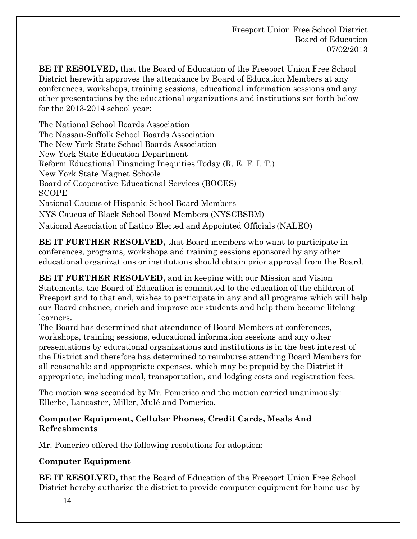**BE IT RESOLVED,** that the Board of Education of the Freeport Union Free School District herewith approves the attendance by Board of Education Members at any conferences, workshops, training sessions, educational information sessions and any other presentations by the educational organizations and institutions set forth below for the 2013-2014 school year:

 The National School Boards Association The Nassau-Suffolk School Boards Association The New York State School Boards Association New York State Education Department Reform Educational Financing Inequities Today (R. E. F. I. T.) New York State Magnet Schools Board of Cooperative Educational Services (BOCES) SCOPE National Caucus of Hispanic School Board Members NYS Caucus of Black School Board Members (NYSCBSBM) National Association of Latino Elected and Appointed Officials (NALEO)

**BE IT FURTHER RESOLVED,** that Board members who want to participate in conferences, programs, workshops and training sessions sponsored by any other educational organizations or institutions should obtain prior approval from the Board.

**BE IT FURTHER RESOLVED,** and in keeping with our Mission and Vision Statements, the Board of Education is committed to the education of the children of Freeport and to that end, wishes to participate in any and all programs which will help our Board enhance, enrich and improve our students and help them become lifelong learners.

The Board has determined that attendance of Board Members at conferences, workshops, training sessions, educational information sessions and any other presentations by educational organizations and institutions is in the best interest of the District and therefore has determined to reimburse attending Board Members for all reasonable and appropriate expenses, which may be prepaid by the District if appropriate, including meal, transportation, and lodging costs and registration fees.

The motion was seconded by Mr. Pomerico and the motion carried unanimously: Ellerbe, Lancaster, Miller, Mulé and Pomerico.

### **Computer Equipment, Cellular Phones, Credit Cards, Meals And Refreshments**

Mr. Pomerico offered the following resolutions for adoption:

## **Computer Equipment**

**BE IT RESOLVED,** that the Board of Education of the Freeport Union Free School District hereby authorize the district to provide computer equipment for home use by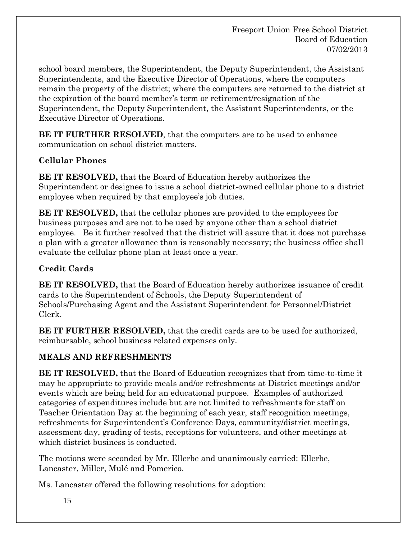school board members, the Superintendent, the Deputy Superintendent, the Assistant Superintendents, and the Executive Director of Operations, where the computers remain the property of the district; where the computers are returned to the district at the expiration of the board member's term or retirement/resignation of the Superintendent, the Deputy Superintendent, the Assistant Superintendents, or the Executive Director of Operations.

**BE IT FURTHER RESOLVED**, that the computers are to be used to enhance communication on school district matters.

# **Cellular Phones**

**BE IT RESOLVED,** that the Board of Education hereby authorizes the Superintendent or designee to issue a school district-owned cellular phone to a district employee when required by that employee's job duties.

**BE IT RESOLVED,** that the cellular phones are provided to the employees for business purposes and are not to be used by anyone other than a school district employee. Be it further resolved that the district will assure that it does not purchase a plan with a greater allowance than is reasonably necessary; the business office shall evaluate the cellular phone plan at least once a year.

# **Credit Cards**

**BE IT RESOLVED,** that the Board of Education hereby authorizes issuance of credit cards to the Superintendent of Schools, the Deputy Superintendent of Schools/Purchasing Agent and the Assistant Superintendent for Personnel/District Clerk.

**BE IT FURTHER RESOLVED,** that the credit cards are to be used for authorized, reimbursable, school business related expenses only.

# **MEALS AND REFRESHMENTS**

**BE IT RESOLVED,** that the Board of Education recognizes that from time-to-time it may be appropriate to provide meals and/or refreshments at District meetings and/or events which are being held for an educational purpose. Examples of authorized categories of expenditures include but are not limited to refreshments for staff on Teacher Orientation Day at the beginning of each year, staff recognition meetings, refreshments for Superintendent's Conference Days, community/district meetings, assessment day, grading of tests, receptions for volunteers, and other meetings at which district business is conducted.

The motions were seconded by Mr. Ellerbe and unanimously carried: Ellerbe, Lancaster, Miller, Mulé and Pomerico.

Ms. Lancaster offered the following resolutions for adoption: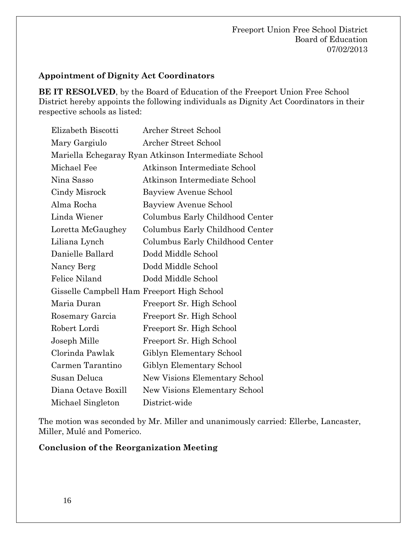#### **Appointment of Dignity Act Coordinators**

**BE IT RESOLVED**, by the Board of Education of the Freeport Union Free School District hereby appoints the following individuals as Dignity Act Coordinators in their respective schools as listed:

|               | Elizabeth Biscotti  | Archer Street School                                 |
|---------------|---------------------|------------------------------------------------------|
| Mary Gargiulo |                     | Archer Street School                                 |
|               |                     | Mariella Echegaray Ryan Atkinson Intermediate School |
| Michael Fee   |                     | Atkinson Intermediate School                         |
| Nina Sasso    |                     | Atkinson Intermediate School                         |
| Cindy Misrock |                     | Bayview Avenue School                                |
| Alma Rocha    |                     | Bayview Avenue School                                |
| Linda Wiener  |                     | Columbus Early Childhood Center                      |
|               | Loretta McGaughey   | Columbus Early Childhood Center                      |
| Liliana Lynch |                     | Columbus Early Childhood Center                      |
|               | Danielle Ballard    | Dodd Middle School                                   |
| Nancy Berg    |                     | Dodd Middle School                                   |
| Felice Niland |                     | Dodd Middle School                                   |
|               |                     | Gisselle Campbell Ham Freeport High School           |
| Maria Duran   |                     | Freeport Sr. High School                             |
|               | Rosemary Garcia     | Freeport Sr. High School                             |
| Robert Lordi  |                     | Freeport Sr. High School                             |
| Joseph Mille  |                     | Freeport Sr. High School                             |
|               | Clorinda Pawlak     | Giblyn Elementary School                             |
|               | Carmen Tarantino    | Giblyn Elementary School                             |
| Susan Deluca  |                     | New Visions Elementary School                        |
|               | Diana Octave Boxill | New Visions Elementary School                        |
|               | Michael Singleton   | District-wide                                        |

The motion was seconded by Mr. Miller and unanimously carried: Ellerbe, Lancaster, Miller, Mulé and Pomerico.

#### **Conclusion of the Reorganization Meeting**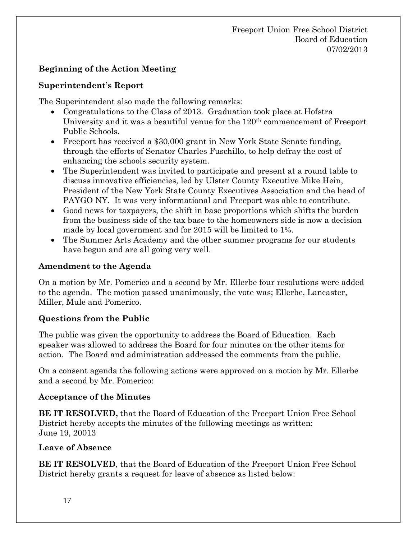## **Beginning of the Action Meeting**

### **Superintendent's Report**

The Superintendent also made the following remarks:

- Congratulations to the Class of 2013. Graduation took place at Hofstra University and it was a beautiful venue for the 120<sup>th</sup> commencement of Freeport Public Schools.
- Freeport has received a \$30,000 grant in New York State Senate funding, through the efforts of Senator Charles Fuschillo, to help defray the cost of enhancing the schools security system.
- The Superintendent was invited to participate and present at a round table to discuss innovative efficiencies, led by Ulster County Executive Mike Hein, President of the New York State County Executives Association and the head of PAYGO NY. It was very informational and Freeport was able to contribute.
- Good news for taxpayers, the shift in base proportions which shifts the burden from the business side of the tax base to the homeowners side is now a decision made by local government and for 2015 will be limited to 1%.
- The Summer Arts Academy and the other summer programs for our students have begun and are all going very well.

#### **Amendment to the Agenda**

On a motion by Mr. Pomerico and a second by Mr. Ellerbe four resolutions were added to the agenda. The motion passed unanimously, the vote was; Ellerbe, Lancaster, Miller, Mule and Pomerico.

### **Questions from the Public**

The public was given the opportunity to address the Board of Education. Each speaker was allowed to address the Board for four minutes on the other items for action. The Board and administration addressed the comments from the public.

On a consent agenda the following actions were approved on a motion by Mr. Ellerbe and a second by Mr. Pomerico:

### **Acceptance of the Minutes**

**BE IT RESOLVED,** that the Board of Education of the Freeport Union Free School District hereby accepts the minutes of the following meetings as written: June 19, 20013

### **Leave of Absence**

**BE IT RESOLVED**, that the Board of Education of the Freeport Union Free School District hereby grants a request for leave of absence as listed below: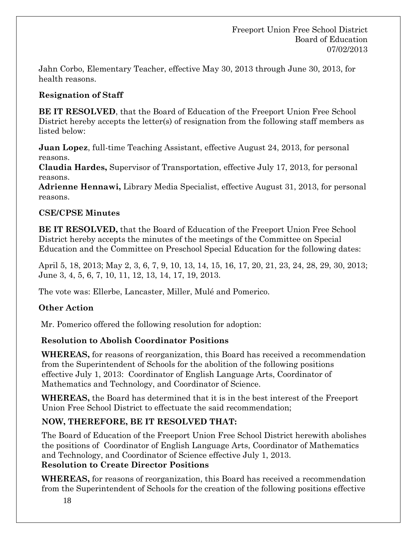Jahn Corbo, Elementary Teacher, effective May 30, 2013 through June 30, 2013, for health reasons.

# **Resignation of Staff**

**BE IT RESOLVED**, that the Board of Education of the Freeport Union Free School District hereby accepts the letter(s) of resignation from the following staff members as listed below:

**Juan Lopez**, full-time Teaching Assistant, effective August 24, 2013, for personal reasons.

**Claudia Hardes,** Supervisor of Transportation, effective July 17, 2013, for personal reasons.

**Adrienne Hennawi,** Library Media Specialist, effective August 31, 2013, for personal reasons.

## **CSE/CPSE Minutes**

**BE IT RESOLVED,** that the Board of Education of the Freeport Union Free School District hereby accepts the minutes of the meetings of the Committee on Special Education and the Committee on Preschool Special Education for the following dates:

April 5, 18, 2013; May 2, 3, 6, 7, 9, 10, 13, 14, 15, 16, 17, 20, 21, 23, 24, 28, 29, 30, 2013; June 3, 4, 5, 6, 7, 10, 11, 12, 13, 14, 17, 19, 2013.

The vote was: Ellerbe, Lancaster, Miller, Mulé and Pomerico.

## **Other Action**

Mr. Pomerico offered the following resolution for adoption:

## **Resolution to Abolish Coordinator Positions**

**WHEREAS,** for reasons of reorganization, this Board has received a recommendation from the Superintendent of Schools for the abolition of the following positions effective July 1, 2013: Coordinator of English Language Arts, Coordinator of Mathematics and Technology, and Coordinator of Science.

**WHEREAS,** the Board has determined that it is in the best interest of the Freeport Union Free School District to effectuate the said recommendation;

## **NOW, THEREFORE, BE IT RESOLVED THAT:**

The Board of Education of the Freeport Union Free School District herewith abolishes the positions ofCoordinator of English Language Arts, Coordinator of Mathematics and Technology, and Coordinator of Science effective July 1, 2013.

## **Resolution to Create Director Positions**

**WHEREAS,** for reasons of reorganization, this Board has received a recommendation from the Superintendent of Schools for the creation of the following positions effective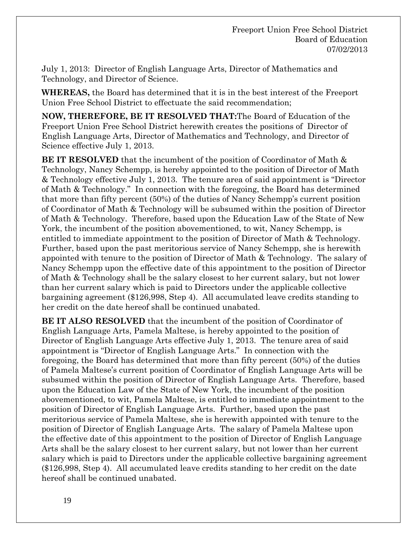July 1, 2013: Director of English Language Arts, Director of Mathematics and Technology, and Director of Science.

**WHEREAS,** the Board has determined that it is in the best interest of the Freeport Union Free School District to effectuate the said recommendation;

**NOW, THEREFORE, BE IT RESOLVED THAT:**The Board of Education of the Freeport Union Free School District herewith creates the positions ofDirector of English Language Arts, Director of Mathematics and Technology, and Director of Science effective July 1, 2013.

**BE IT RESOLVED** that the incumbent of the position of Coordinator of Math & Technology, Nancy Schempp, is hereby appointed to the position of Director of Math & Technology effective July 1, 2013. The tenure area of said appointment is "Director of Math & Technology." In connection with the foregoing, the Board has determined that more than fifty percent (50%) of the duties of Nancy Schempp's current position of Coordinator of Math & Technology will be subsumed within the position of Director of Math & Technology. Therefore, based upon the Education Law of the State of New York, the incumbent of the position abovementioned, to wit, Nancy Schempp, is entitled to immediate appointment to the position of Director of Math & Technology. Further, based upon the past meritorious service of Nancy Schempp, she is herewith appointed with tenure to the position of Director of Math & Technology. The salary of Nancy Schempp upon the effective date of this appointment to the position of Director of Math & Technology shall be the salary closest to her current salary, but not lower than her current salary which is paid to Directors under the applicable collective bargaining agreement (\$126,998, Step 4). All accumulated leave credits standing to her credit on the date hereof shall be continued unabated.

**BE IT ALSO RESOLVED** that the incumbent of the position of Coordinator of English Language Arts, Pamela Maltese, is hereby appointed to the position of Director of English Language Arts effective July 1, 2013. The tenure area of said appointment is "Director of English Language Arts." In connection with the foregoing, the Board has determined that more than fifty percent (50%) of the duties of Pamela Maltese's current position of Coordinator of English Language Arts will be subsumed within the position of Director of English Language Arts. Therefore, based upon the Education Law of the State of New York, the incumbent of the position abovementioned, to wit, Pamela Maltese, is entitled to immediate appointment to the position of Director of English Language Arts. Further, based upon the past meritorious service of Pamela Maltese, she is herewith appointed with tenure to the position of Director of English Language Arts. The salary of Pamela Maltese upon the effective date of this appointment to the position of Director of English Language Arts shall be the salary closest to her current salary, but not lower than her current salary which is paid to Directors under the applicable collective bargaining agreement (\$126,998, Step 4). All accumulated leave credits standing to her credit on the date hereof shall be continued unabated.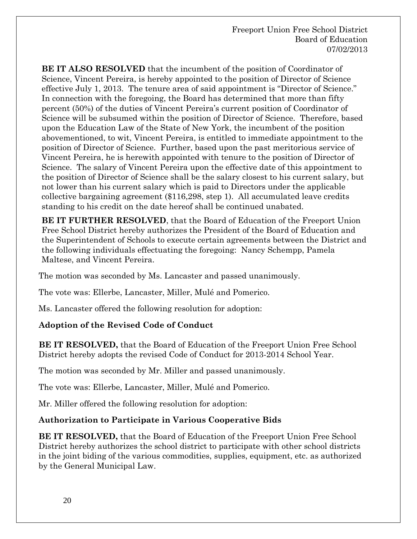**BE IT ALSO RESOLVED** that the incumbent of the position of Coordinator of Science, Vincent Pereira, is hereby appointed to the position of Director of Science effective July 1, 2013. The tenure area of said appointment is "Director of Science." In connection with the foregoing, the Board has determined that more than fifty percent (50%) of the duties of Vincent Pereira's current position of Coordinator of Science will be subsumed within the position of Director of Science. Therefore, based upon the Education Law of the State of New York, the incumbent of the position abovementioned, to wit, Vincent Pereira, is entitled to immediate appointment to the position of Director of Science. Further, based upon the past meritorious service of Vincent Pereira, he is herewith appointed with tenure to the position of Director of Science. The salary of Vincent Pereira upon the effective date of this appointment to the position of Director of Science shall be the salary closest to his current salary, but not lower than his current salary which is paid to Directors under the applicable collective bargaining agreement (\$116,298, step 1). All accumulated leave credits standing to his credit on the date hereof shall be continued unabated.

**BE IT FURTHER RESOLVED**, that the Board of Education of the Freeport Union Free School District hereby authorizes the President of the Board of Education and the Superintendent of Schools to execute certain agreements between the District and the following individuals effectuating the foregoing: Nancy Schempp, Pamela Maltese, and Vincent Pereira.

The motion was seconded by Ms. Lancaster and passed unanimously.

The vote was: Ellerbe, Lancaster, Miller, Mulé and Pomerico.

Ms. Lancaster offered the following resolution for adoption:

## **Adoption of the Revised Code of Conduct**

 **BE IT RESOLVED,** that the Board of Education of the Freeport Union Free School District hereby adopts the revised Code of Conduct for 2013-2014 School Year.

The motion was seconded by Mr. Miller and passed unanimously.

The vote was: Ellerbe, Lancaster, Miller, Mulé and Pomerico.

Mr. Miller offered the following resolution for adoption:

### **Authorization to Participate in Various Cooperative Bids**

**BE IT RESOLVED,** that the Board of Education of the Freeport Union Free School District hereby authorizes the school district to participate with other school districts in the joint biding of the various commodities, supplies, equipment, etc. as authorized by the General Municipal Law.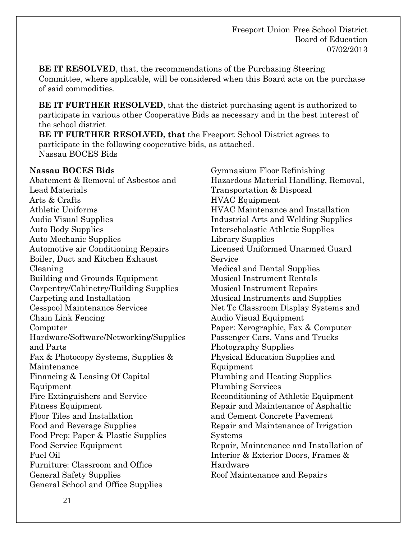**BE IT RESOLVED**, that, the recommendations of the Purchasing Steering Committee, where applicable, will be considered when this Board acts on the purchase of said commodities.

**BE IT FURTHER RESOLVED**, that the district purchasing agent is authorized to participate in various other Cooperative Bids as necessary and in the best interest of the school district

**BE IT FURTHER RESOLVED, that** the Freeport School District agrees to participate in the following cooperative bids, as attached. Nassau BOCES Bids

#### **Nassau BOCES Bids**

Abatement & Removal of Asbestos and Lead Materials Arts & Crafts Athletic Uniforms Audio Visual Supplies Auto Body Supplies Auto Mechanic Supplies Automotive air Conditioning Repairs Boiler, Duct and Kitchen Exhaust Cleaning Building and Grounds Equipment Carpentry/Cabinetry/Building Supplies Carpeting and Installation Cesspool Maintenance Services Chain Link Fencing Computer Hardware/Software/Networking/Supplies and Parts Fax & Photocopy Systems, Supplies & Maintenance Financing & Leasing Of Capital Equipment Fire Extinguishers and Service Fitness Equipment Floor Tiles and Installation Food and Beverage Supplies Food Prep: Paper & Plastic Supplies Food Service Equipment Fuel Oil Furniture: Classroom and Office General Safety Supplies General School and Office Supplies

Gymnasium Floor Refinishing Hazardous Material Handling, Removal, Transportation & Disposal HVAC Equipment HVAC Maintenance and Installation Industrial Arts and Welding Supplies Interscholastic Athletic Supplies Library Supplies Licensed Uniformed Unarmed Guard Service Medical and Dental Supplies Musical Instrument Rentals Musical Instrument Repairs Musical Instruments and Supplies Net Tc Classroom Display Systems and Audio Visual Equipment Paper: Xerographic, Fax & Computer Passenger Cars, Vans and Trucks Photography Supplies Physical Education Supplies and Equipment Plumbing and Heating Supplies Plumbing Services Reconditioning of Athletic Equipment Repair and Maintenance of Asphaltic and Cement Concrete Pavement Repair and Maintenance of Irrigation **Systems** Repair, Maintenance and Installation of Interior & Exterior Doors, Frames & Hardware Roof Maintenance and Repairs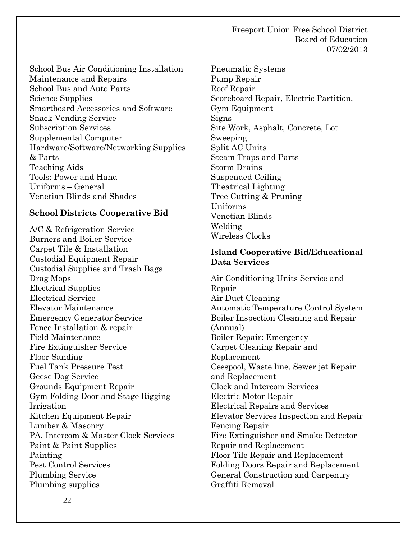#### Freeport Union Free School District Board of Education 07/02/2013

School Bus Air Conditioning Installation Maintenance and Repairs School Bus and Auto Parts Science Supplies Smartboard Accessories and Software Snack Vending Service Subscription Services Supplemental Computer Hardware/Software/Networking Supplies & Parts Teaching Aids Tools: Power and Hand Uniforms – General Venetian Blinds and Shades

#### **School Districts Cooperative Bid**

A/C & Refrigeration Service Burners and Boiler Service Carpet Tile & Installation Custodial Equipment Repair Custodial Supplies and Trash Bags Drag Mops Electrical Supplies Electrical Service Elevator Maintenance Emergency Generator Service Fence Installation & repair Field Maintenance Fire Extinguisher Service Floor Sanding Fuel Tank Pressure Test Geese Dog Service Grounds Equipment Repair Gym Folding Door and Stage Rigging Irrigation Kitchen Equipment Repair Lumber & Masonry PA, Intercom & Master Clock Services Paint & Paint Supplies Painting Pest Control Services Plumbing Service Plumbing supplies

Pneumatic Systems Pump Repair Roof Repair Scoreboard Repair, Electric Partition, Gym Equipment Signs Site Work, Asphalt, Concrete, Lot Sweeping Split AC Units Steam Traps and Parts Storm Drains Suspended Ceiling Theatrical Lighting Tree Cutting & Pruning Uniforms Venetian Blinds Welding Wireless Clocks

#### **Island Cooperative Bid/Educational Data Services**

Air Conditioning Units Service and Repair Air Duct Cleaning Automatic Temperature Control System Boiler Inspection Cleaning and Repair (Annual) Boiler Repair: Emergency Carpet Cleaning Repair and Replacement Cesspool, Waste line, Sewer jet Repair and Replacement Clock and Intercom Services Electric Motor Repair Electrical Repairs and Services Elevator Services Inspection and Repair Fencing Repair Fire Extinguisher and Smoke Detector Repair and Replacement Floor Tile Repair and Replacement Folding Doors Repair and Replacement General Construction and Carpentry Graffiti Removal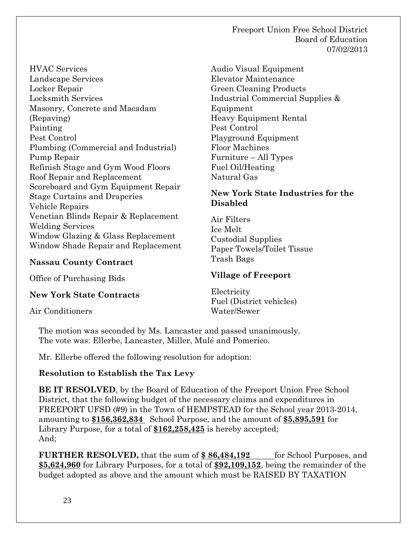Freeport Union Free School District Board of Education 07/02/2013

HVAC Services Landscape Services Locker Repair Locksmith Services Masonry, Concrete and Macadam (Repaving) Painting Pest Control Plumbing (Commercial and Industrial) Pump Repair Refinish Stage and Gym Wood Floors Roof Repair and Replacement Scoreboard and Gym Equipment Repair Stage Curtains and Draperies Vehicle Repairs Venetian Blinds Repair & Replacement Welding Services Window Glazing & Glass Replacement Window Shade Repair and Replacement

#### **Nassau County Contract**

Office of Purchasing Bids

#### **New York State Contracts**

Air Conditioners

Audio Visual Equipment Elevator Maintenance Green Cleaning Products Industrial Commercial Supplies & Equipment Heavy Equipment Rental Pest Control Playground Equipment Floor Machines Furniture – All Types Fuel Oil/Heating Natural Gas

### **New York State Industries for the Disabled**

Air Filters Ice Melt Custodial Supplies Paper Towels/Toilet Tissue Trash Bags

### **Village of Freeport**

Electricity Fuel (District vehicles) Water/Sewer

The motion was seconded by Ms. Lancaster and passed unanimously. The vote was: Ellerbe, Lancaster, Miller, Mulé and Pomerico.

Mr. Ellerbe offered the following resolution for adoption:

### **Resolution to Establish the Tax Levy**

**BE IT RESOLVED**, by the Board of Education of the Freeport Union Free School District, that the following budget of the necessary claims and expenditures in FREEPORT UFSD (#9) in the Town of HEMPSTEAD for the School year 2013-2014, amounting to **\$156,362,834** School Purpose, and the amount of **\$5,895,591** for Library Purpose, for a total of **\$162,258,425** is hereby accepted; And;

**FURTHER RESOLVED,** that the sum of \$86,484,192 for School Purposes, and **\$5,624,960** for Library Purposes, for a total of **\$92,109,152**, being the remainder of the budget adopted as above and the amount which must be RAISED BY TAXATION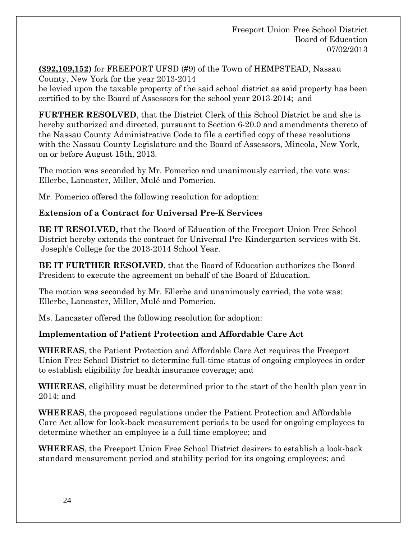**(\$92,109,152)** for FREEPORT UFSD (#9) of the Town of HEMPSTEAD, Nassau County, New York for the year 2013-2014

be levied upon the taxable property of the said school district as said property has been certified to by the Board of Assessors for the school year 2013-2014; and

**FURTHER RESOLVED**, that the District Clerk of this School District be and she is hereby authorized and directed, pursuant to Section 6-20.0 and amendments thereto of the Nassau County Administrative Code to file a certified copy of these resolutions with the Nassau County Legislature and the Board of Assessors, Mineola, New York, on or before August 15th, 2013.

The motion was seconded by Mr. Pomerico and unanimously carried, the vote was: Ellerbe, Lancaster, Miller, Mulé and Pomerico.

Mr. Pomerico offered the following resolution for adoption:

### **Extension of a Contract for Universal Pre-K Services**

 **BE IT RESOLVED,** that the Board of Education of the Freeport Union Free School District hereby extends the contract for Universal Pre-Kindergarten services with St. Joseph's College for the 2013-2014 School Year.

 **BE IT FURTHER RESOLVED**, that the Board of Education authorizes the Board President to execute the agreement on behalf of the Board of Education.

The motion was seconded by Mr. Ellerbe and unanimously carried, the vote was: Ellerbe, Lancaster, Miller, Mulé and Pomerico.

Ms. Lancaster offered the following resolution for adoption:

### **Implementation of Patient Protection and Affordable Care Act**

**WHEREAS**, the Patient Protection and Affordable Care Act requires the Freeport Union Free School District to determine full-time status of ongoing employees in order to establish eligibility for health insurance coverage; and

**WHEREAS**, eligibility must be determined prior to the start of the health plan year in 2014; and

**WHEREAS**, the proposed regulations under the Patient Protection and Affordable Care Act allow for look-back measurement periods to be used for ongoing employees to determine whether an employee is a full time employee; and

**WHEREAS**, the Freeport Union Free School District desirers to establish a look-back standard measurement period and stability period for its ongoing employees; and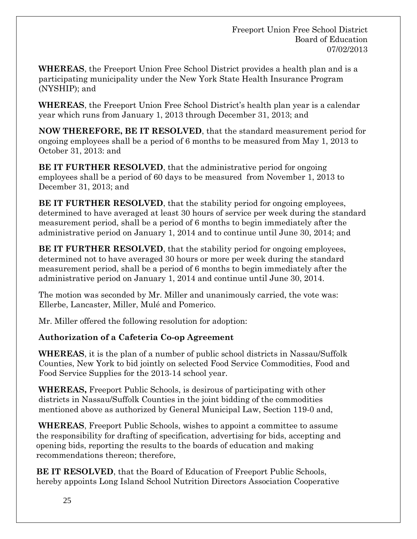**WHEREAS**, the Freeport Union Free School District provides a health plan and is a participating municipality under the New York State Health Insurance Program (NYSHIP); and

**WHEREAS**, the Freeport Union Free School District's health plan year is a calendar year which runs from January 1, 2013 through December 31, 2013; and

**NOW THEREFORE, BE IT RESOLVED**, that the standard measurement period for ongoing employees shall be a period of 6 months to be measured from May 1, 2013 to October 31, 2013: and

**BE IT FURTHER RESOLVED**, that the administrative period for ongoing employees shall be a period of 60 days to be measured from November 1, 2013 to December 31, 2013; and

**BE IT FURTHER RESOLVED**, that the stability period for ongoing employees, determined to have averaged at least 30 hours of service per week during the standard measurement period, shall be a period of 6 months to begin immediately after the administrative period on January 1, 2014 and to continue until June 30, 2014; and

**BE IT FURTHER RESOLVED**, that the stability period for ongoing employees, determined not to have averaged 30 hours or more per week during the standard measurement period, shall be a period of 6 months to begin immediately after the administrative period on January 1, 2014 and continue until June 30, 2014.

The motion was seconded by Mr. Miller and unanimously carried, the vote was: Ellerbe, Lancaster, Miller, Mulé and Pomerico.

Mr. Miller offered the following resolution for adoption:

## **Authorization of a Cafeteria Co-op Agreement**

**WHEREAS**, it is the plan of a number of public school districts in Nassau/Suffolk Counties, New York to bid jointly on selected Food Service Commodities, Food and Food Service Supplies for the 2013-14 school year.

**WHEREAS,** Freeport Public Schools, is desirous of participating with other districts in Nassau/Suffolk Counties in the joint bidding of the commodities mentioned above as authorized by General Municipal Law, Section 119-0 and,

 **WHEREAS**, Freeport Public Schools, wishes to appoint a committee to assume the responsibility for drafting of specification, advertising for bids, accepting and opening bids, reporting the results to the boards of education and making recommendations thereon; therefore,

 **BE IT RESOLVED**, that the Board of Education of Freeport Public Schools, hereby appoints Long Island School Nutrition Directors Association Cooperative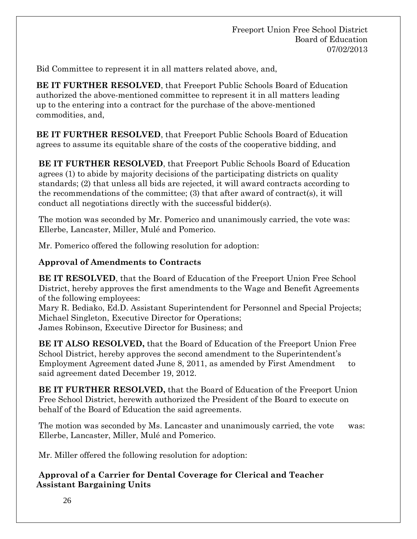Bid Committee to represent it in all matters related above, and,

 **BE IT FURTHER RESOLVED**, that Freeport Public Schools Board of Education authorized the above-mentioned committee to represent it in all matters leading up to the entering into a contract for the purchase of the above-mentioned commodities, and,

 **BE IT FURTHER RESOLVED**, that Freeport Public Schools Board of Education agrees to assume its equitable share of the costs of the cooperative bidding, and

 **BE IT FURTHER RESOLVED**, that Freeport Public Schools Board of Education agrees (1) to abide by majority decisions of the participating districts on quality standards; (2) that unless all bids are rejected, it will award contracts according to the recommendations of the committee; (3) that after award of contract(s), it will conduct all negotiations directly with the successful bidder(s).

The motion was seconded by Mr. Pomerico and unanimously carried, the vote was: Ellerbe, Lancaster, Miller, Mulé and Pomerico.

Mr. Pomerico offered the following resolution for adoption:

## **Approval of Amendments to Contracts**

**BE IT RESOLVED**, that the Board of Education of the Freeport Union Free School District, hereby approves the first amendments to the Wage and Benefit Agreements of the following employees:

Mary R. Bediako, Ed.D. Assistant Superintendent for Personnel and Special Projects; Michael Singleton, Executive Director for Operations; James Robinson, Executive Director for Business; and

**BE IT ALSO RESOLVED,** that the Board of Education of the Freeport Union Free School District, hereby approves the second amendment to the Superintendent's Employment Agreement dated June 8, 2011, as amended by First Amendment to said agreement dated December 19, 2012.

**BE IT FURTHER RESOLVED,** that the Board of Education of the Freeport Union Free School District, herewith authorized the President of the Board to execute on behalf of the Board of Education the said agreements.

The motion was seconded by Ms. Lancaster and unanimously carried, the vote was: Ellerbe, Lancaster, Miller, Mulé and Pomerico.

Mr. Miller offered the following resolution for adoption:

## **Approval of a Carrier for Dental Coverage for Clerical and Teacher Assistant Bargaining Units**

26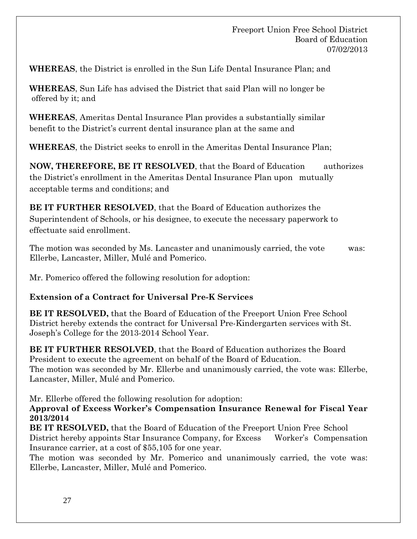**WHEREAS**, the District is enrolled in the Sun Life Dental Insurance Plan; and

**WHEREAS**, Sun Life has advised the District that said Plan will no longer be offered by it; and

**WHEREAS**, Ameritas Dental Insurance Plan provides a substantially similar benefit to the District's current dental insurance plan at the same and

**WHEREAS**, the District seeks to enroll in the Ameritas Dental Insurance Plan;

**NOW, THEREFORE, BE IT RESOLVED**, that the Board of Education authorizes the District's enrollment in the Ameritas Dental Insurance Plan upon mutually acceptable terms and conditions; and

**BE IT FURTHER RESOLVED**, that the Board of Education authorizes the Superintendent of Schools, or his designee, to execute the necessary paperwork to effectuate said enrollment.

The motion was seconded by Ms. Lancaster and unanimously carried, the vote was: Ellerbe, Lancaster, Miller, Mulé and Pomerico.

Mr. Pomerico offered the following resolution for adoption:

### **Extension of a Contract for Universal Pre-K Services**

**BE IT RESOLVED,** that the Board of Education of the Freeport Union Free School District hereby extends the contract for Universal Pre-Kindergarten services with St. Joseph's College for the 2013-2014 School Year.

**BE IT FURTHER RESOLVED**, that the Board of Education authorizes the Board President to execute the agreement on behalf of the Board of Education. The motion was seconded by Mr. Ellerbe and unanimously carried, the vote was: Ellerbe, Lancaster, Miller, Mulé and Pomerico.

Mr. Ellerbe offered the following resolution for adoption:

**Approval of Excess Worker's Compensation Insurance Renewal for Fiscal Year 2013/2014**

**BE IT RESOLVED,** that the Board of Education of the Freeport Union Free School District hereby appoints Star Insurance Company, for Excess Worker's Compensation Insurance carrier, at a cost of \$55,105 for one year.

The motion was seconded by Mr. Pomerico and unanimously carried, the vote was: Ellerbe, Lancaster, Miller, Mulé and Pomerico.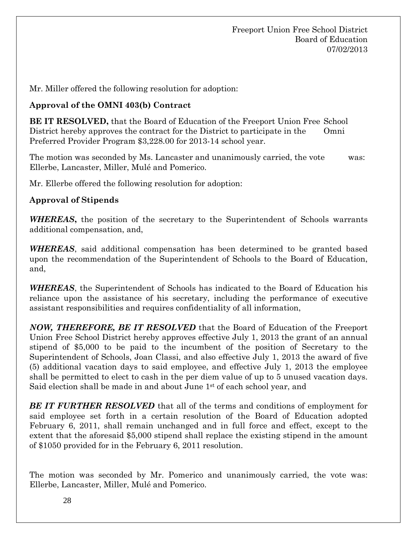Mr. Miller offered the following resolution for adoption:

### **Approval of the OMNI 403(b) Contract**

**BE IT RESOLVED,** that the Board of Education of the Freeport Union Free School District hereby approves the contract for the District to participate in the Omni Preferred Provider Program \$3,228.00 for 2013-14 school year.

The motion was seconded by Ms. Lancaster and unanimously carried, the vote was: Ellerbe, Lancaster, Miller, Mulé and Pomerico.

Mr. Ellerbe offered the following resolution for adoption:

## **Approval of Stipends**

*WHEREAS***,** the position of the secretary to the Superintendent of Schools warrants additional compensation, and,

*WHEREAS*, said additional compensation has been determined to be granted based upon the recommendation of the Superintendent of Schools to the Board of Education, and,

*WHEREAS*, the Superintendent of Schools has indicated to the Board of Education his reliance upon the assistance of his secretary, including the performance of executive assistant responsibilities and requires confidentiality of all information,

*NOW, THEREFORE, BE IT RESOLVED* that the Board of Education of the Freeport Union Free School District hereby approves effective July 1, 2013 the grant of an annual stipend of \$5,000 to be paid to the incumbent of the position of Secretary to the Superintendent of Schools, Joan Classi, and also effective July 1, 2013 the award of five (5) additional vacation days to said employee, and effective July 1, 2013 the employee shall be permitted to elect to cash in the per diem value of up to 5 unused vacation days. Said election shall be made in and about June  $1<sup>st</sup>$  of each school year, and

*BE IT FURTHER RESOLVED* that all of the terms and conditions of employment for said employee set forth in a certain resolution of the Board of Education adopted February 6, 2011, shall remain unchanged and in full force and effect, except to the extent that the aforesaid \$5,000 stipend shall replace the existing stipend in the amount of \$1050 provided for in the February 6, 2011 resolution.

The motion was seconded by Mr. Pomerico and unanimously carried, the vote was: Ellerbe, Lancaster, Miller, Mulé and Pomerico.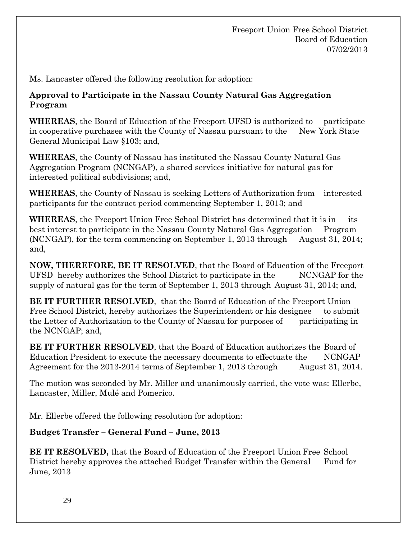Ms. Lancaster offered the following resolution for adoption:

## **Approval to Participate in the Nassau County Natural Gas Aggregation Program**

**WHEREAS**, the Board of Education of the Freeport UFSD is authorized to participate in cooperative purchases with the County of Nassau pursuant to the New York State General Municipal Law §103; and,

**WHEREAS**, the County of Nassau has instituted the Nassau County Natural Gas Aggregation Program (NCNGAP), a shared services initiative for natural gas for interested political subdivisions; and,

**WHEREAS**, the County of Nassau is seeking Letters of Authorization from interested participants for the contract period commencing September 1, 2013; and

**WHEREAS**, the Freeport Union Free School District has determined that it is in its best interest to participate in the Nassau County Natural Gas Aggregation Program (NCNGAP), for the term commencing on September 1, 2013 through August 31, 2014; and,

**NOW, THEREFORE, BE IT RESOLVED**, that the Board of Education of the Freeport UFSD hereby authorizes the School District to participate in the NCNGAP for the supply of natural gas for the term of September 1, 2013 through August 31, 2014; and,

**BE IT FURTHER RESOLVED**, that the Board of Education of the Freeport Union Free School District, hereby authorizes the Superintendent or his designee to submit the Letter of Authorization to the County of Nassau for purposes of participating in the NCNGAP; and,

**BE IT FURTHER RESOLVED**, that the Board of Education authorizes the Board of Education President to execute the necessary documents to effectuate the NCNGAP Agreement for the 2013-2014 terms of September 1, 2013 through August 31, 2014.

The motion was seconded by Mr. Miller and unanimously carried, the vote was: Ellerbe, Lancaster, Miller, Mulé and Pomerico.

Mr. Ellerbe offered the following resolution for adoption:

### **Budget Transfer – General Fund – June, 2013**

**BE IT RESOLVED,** that the Board of Education of the Freeport Union Free School District hereby approves the attached Budget Transfer within the General Fund for June, 2013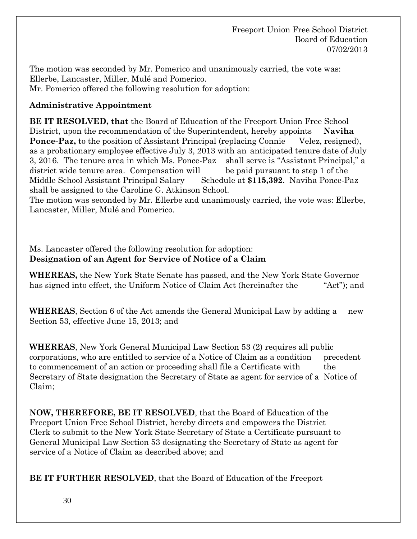Freeport Union Free School District Board of Education 07/02/2013

The motion was seconded by Mr. Pomerico and unanimously carried, the vote was: Ellerbe, Lancaster, Miller, Mulé and Pomerico. Mr. Pomerico offered the following resolution for adoption:

## **Administrative Appointment**

**BE IT RESOLVED, that** the Board of Education of the Freeport Union Free School District, upon the recommendation of the Superintendent, hereby appoints **Naviha Ponce-Paz,** to the position of Assistant Principal (replacing Connie Velez, resigned), as a probationary employee effective July 3, 2013 with an anticipated tenure date of July 3, 2016. The tenure area in which Ms. Ponce-Paz shall serve is "Assistant Principal," a district wide tenure area. Compensation will be paid pursuant to step 1 of the Middle School Assistant Principal Salary Schedule at **\$115,392**. Naviha Ponce-Paz shall be assigned to the Caroline G. Atkinson School.

The motion was seconded by Mr. Ellerbe and unanimously carried, the vote was: Ellerbe, Lancaster, Miller, Mulé and Pomerico.

Ms. Lancaster offered the following resolution for adoption: **Designation of an Agent for Service of Notice of a Claim**

**WHEREAS,** the New York State Senate has passed, and the New York State Governor has signed into effect, the Uniform Notice of Claim Act (hereinafter the "Act"); and

**WHEREAS**, Section 6 of the Act amends the General Municipal Law by adding a new Section 53, effective June 15, 2013; and

**WHEREAS**, New York General Municipal Law Section 53 (2) requires all public corporations, who are entitled to service of a Notice of Claim as a condition precedent to commencement of an action or proceeding shall file a Certificate with the Secretary of State designation the Secretary of State as agent for service of a Notice of Claim;

**NOW, THEREFORE, BE IT RESOLVED**, that the Board of Education of the Freeport Union Free School District, hereby directs and empowers the District Clerk to submit to the New York State Secretary of State a Certificate pursuant to General Municipal Law Section 53 designating the Secretary of State as agent for service of a Notice of Claim as described above; and

**BE IT FURTHER RESOLVED**, that the Board of Education of the Freeport